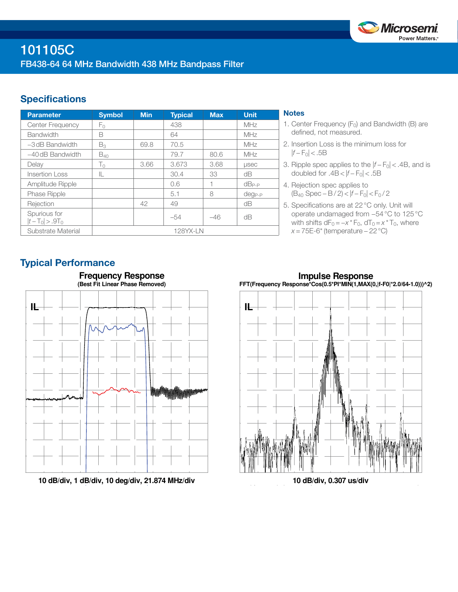

# **Specifications**

| <b>Parameter</b>                  | <b>Symbol</b> | <b>Min</b> | <b>Typical</b> | <b>Max</b> | <b>Unit</b>  |
|-----------------------------------|---------------|------------|----------------|------------|--------------|
| <b>Center Frequency</b>           | Fο            |            | 438            |            | MHz          |
| <b>Bandwidth</b>                  | B             |            | 64             |            | MHz          |
| $-3$ dB Bandwidth                 | $B_3$         | 69.8       | 70.5           |            | MHz          |
| $-40$ dB Bandwidth                | $B_{40}$      |            | 79.7           | 80.6       | MHz          |
| Delay                             | $T_{0}$       | 3.66       | 3.673          | 3.68       | <b>LISEC</b> |
| <b>Insertion Loss</b>             | IL            |            | 30.4           | 33         | dΒ           |
| Amplitude Ripple                  |               |            | 0.6            |            | $dB_{P-P}$   |
| Phase Ripple                      |               |            | 5.1            | 8          | $deg_{P-P}$  |
| Rejection                         |               | 42         | 49             |            | dB           |
| Spurious for<br>$ t-T_0  > .9T_0$ |               |            | $-54$          | $-46$      | dB           |
| Substrate Material                | 128YX-LN      |            |                |            |              |

## **Notes**

- 1. Center Frequency  $(F_0)$  and Bandwidth (B) are defined, not measured.
- 2. Insertion Loss is the minimum loss for  $|f - F_0|$  < .5B
- 3. Ripple spec applies to the  $|f F_0|$  < .4B, and is doubled for  $.4B < |f - F_0| < .5B$
- 4. Rejection spec applies to (B40 Spec − B / 2) < |*f* − F0| < F0 / 2
- 5. Specifications are at 22°C only. Unit will operate undamaged from −54°C to 125°C with shifts  $dF_0 = -x * F_0$ ,  $dT_0 = x * T_0$ , where *x* = 75E-6<sup>\*</sup> (temperature – 22 °C)

# Typical Performance



**10 dB/div, 1 dB/div, 10 deg/div, 21.874 MHz/div**

**Impulse Response FFT(Frequency Response\*Cos(0.5\*PI\*MIN(1,MAX(0,|f-F0|\*2.0/64-1.0)))^2)**



**10 dB/div, 0.307 us/div**